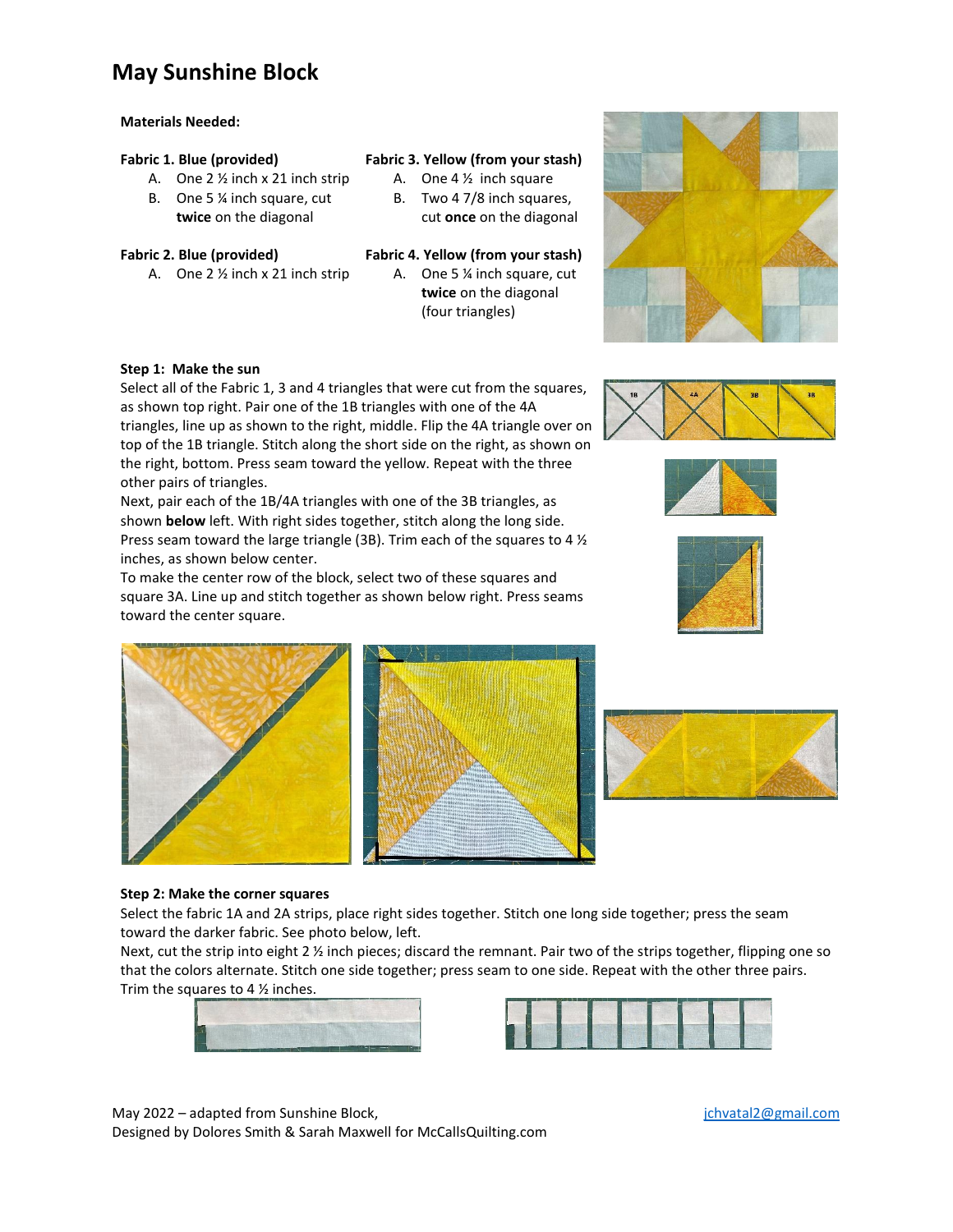## **May Sunshine Block**

### **Materials Needed:**

### **Fabric 1. Blue (provided)**

- A. One 2 ½ inch x 21 inch strip
- B. One 5 ¼ inch square, cut **twice** on the diagonal
- **Fabric 2. Blue (provided)**
	- A. One 2 ½ inch x 21 inch strip

## **Fabric 3. Yellow (from your stash)**

- A. One 4 ½ inch square
- B. Two 4 7/8 inch squares, cut **once** on the diagonal
- **Fabric 4. Yellow (from your stash)**
	- A. One 5 ¼ inch square, cut **twice** on the diagonal (four triangles)

### **Step 1: Make the sun**

Select all of the Fabric 1, 3 and 4 triangles that were cut from the squares, as shown top right. Pair one of the 1B triangles with one of the 4A triangles, line up as shown to the right, middle. Flip the 4A triangle over on top of the 1B triangle. Stitch along the short side on the right, as shown on the right, bottom. Press seam toward the yellow. Repeat with the three other pairs of triangles.

Next, pair each of the 1B/4A triangles with one of the 3B triangles, as shown **below** left. With right sides together, stitch along the long side. Press seam toward the large triangle (3B). Trim each of the squares to 4 ½ inches, as shown below center.

To make the center row of the block, select two of these squares and square 3A. Line up and stitch together as shown below right. Press seams toward the center square.













#### **Step 2: Make the corner squares**

Select the fabric 1A and 2A strips, place right sides together. Stitch one long side together; press the seam toward the darker fabric. See photo below, left.

Next, cut the strip into eight 2 ½ inch pieces; discard the remnant. Pair two of the strips together, flipping one so that the colors alternate. Stitch one side together; press seam to one side. Repeat with the other three pairs. Trim the squares to 4  $\frac{1}{2}$  inches.





May 2022 – adapted from Sunshine Block, including the state of the state of the state of the state of the state of the state of the state of the state of the state of the state of the state of the state of the state of the Designed by Dolores Smith & Sarah Maxwell for McCallsQuilting.com